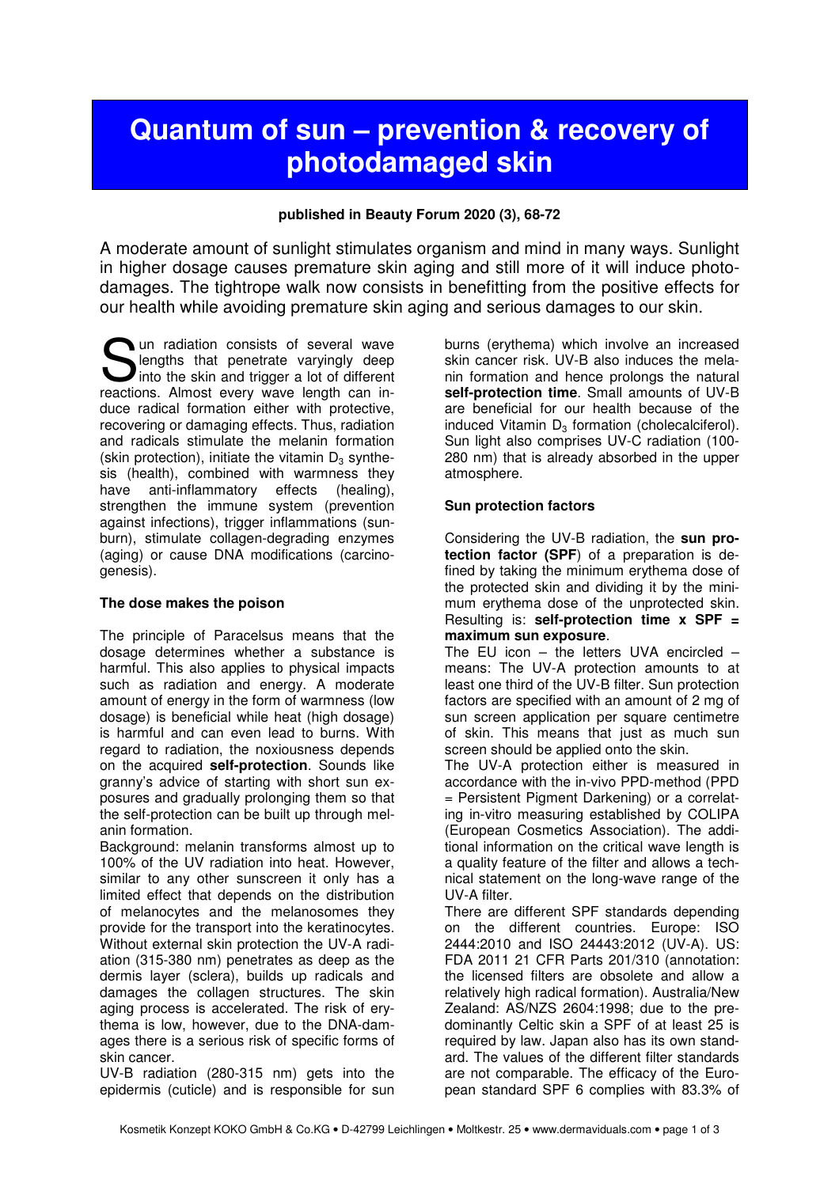# **Quantum of sun – prevention & recovery of photodamaged skin**

#### **published in Beauty Forum 2020 (3), 68-72**

A moderate amount of sunlight stimulates organism and mind in many ways. Sunlight in higher dosage causes premature skin aging and still more of it will induce photodamages. The tightrope walk now consists in benefitting from the positive effects for our health while avoiding premature skin aging and serious damages to our skin.

un radiation consists of several wave lengths that penetrate varyingly deep **Solution** consists of several wave<br>lengths that penetrate varyingly deep<br>into the skin and trigger a lot of different<br>reactions. Almost every wave length can inreactions. Almost every wave length can induce radical formation either with protective, recovering or damaging effects. Thus, radiation and radicals stimulate the melanin formation (skin protection), initiate the vitamin  $D_3$  synthesis (health), combined with warmness they have anti-inflammatory effects (healing), strengthen the immune system (prevention against infections), trigger inflammations (sunburn), stimulate collagen-degrading enzymes (aging) or cause DNA modifications (carcinogenesis).

# **The dose makes the poison**

The principle of Paracelsus means that the dosage determines whether a substance is harmful. This also applies to physical impacts such as radiation and energy. A moderate amount of energy in the form of warmness (low dosage) is beneficial while heat (high dosage) is harmful and can even lead to burns. With regard to radiation, the noxiousness depends on the acquired **self-protection**. Sounds like granny's advice of starting with short sun exposures and gradually prolonging them so that the self-protection can be built up through melanin formation.

Background: melanin transforms almost up to 100% of the UV radiation into heat. However, similar to any other sunscreen it only has a limited effect that depends on the distribution of melanocytes and the melanosomes they provide for the transport into the keratinocytes. Without external skin protection the UV-A radiation (315-380 nm) penetrates as deep as the dermis layer (sclera), builds up radicals and damages the collagen structures. The skin aging process is accelerated. The risk of erythema is low, however, due to the DNA-damages there is a serious risk of specific forms of skin cancer.

UV-B radiation (280-315 nm) gets into the epidermis (cuticle) and is responsible for sun burns (erythema) which involve an increased skin cancer risk. UV-B also induces the melanin formation and hence prolongs the natural **self-protection time**. Small amounts of UV-B are beneficial for our health because of the induced Vitamin  $D_3$  formation (cholecalciferol). Sun light also comprises UV-C radiation (100- 280 nm) that is already absorbed in the upper atmosphere.

#### **Sun protection factors**

Considering the UV-B radiation, the **sun protection factor (SPF**) of a preparation is defined by taking the minimum erythema dose of the protected skin and dividing it by the minimum erythema dose of the unprotected skin. Resulting is: **self-protection time x SPF = maximum sun exposure**.

The EU icon – the letters UVA encircled – means: The UV-A protection amounts to at least one third of the UV-B filter. Sun protection factors are specified with an amount of 2 mg of sun screen application per square centimetre of skin. This means that just as much sun screen should be applied onto the skin.

The UV-A protection either is measured in accordance with the in-vivo PPD-method (PPD = Persistent Pigment Darkening) or a correlating in-vitro measuring established by COLIPA (European Cosmetics Association). The additional information on the critical wave length is a quality feature of the filter and allows a technical statement on the long-wave range of the UV-A filter.

There are different SPF standards depending on the different countries. Europe: ISO 2444:2010 and ISO 24443:2012 (UV-A). US: FDA 2011 21 CFR Parts 201/310 (annotation: the licensed filters are obsolete and allow a relatively high radical formation). Australia/New Zealand: AS/NZS 2604:1998; due to the predominantly Celtic skin a SPF of at least 25 is required by law. Japan also has its own standard. The values of the different filter standards are not comparable. The efficacy of the European standard SPF 6 complies with 83.3% of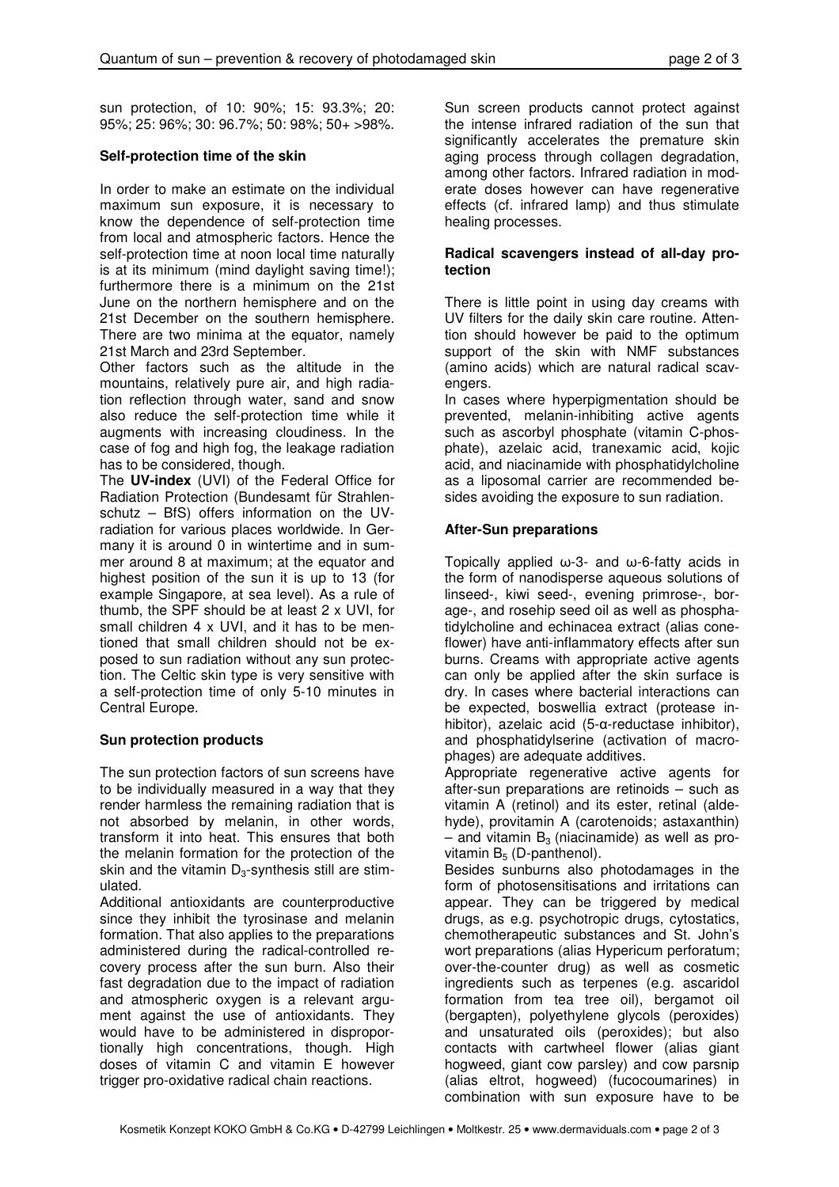sun protection, of 10: 90%; 15: 93.3%; 20: 95%; 25: 96%; 30: 96.7%; 50: 98%; 50+ >98%.

### **Self-protection time of the skin**

In order to make an estimate on the individual maximum sun exposure, it is necessary to know the dependence of self-protection time from local and atmospheric factors. Hence the self-protection time at noon local time naturally is at its minimum (mind daylight saving time!); furthermore there is a minimum on the 21st June on the northern hemisphere and on the 21st December on the southern hemisphere. There are two minima at the equator, namely 21st March and 23rd September.

Other factors such as the altitude in the mountains, relatively pure air, and high radiation reflection through water, sand and snow also reduce the self-protection time while it augments with increasing cloudiness. In the case of fog and high fog, the leakage radiation has to be considered, though.

The **UV-index** (UVI) of the Federal Office for Radiation Protection (Bundesamt für Strahlenschutz – BfS) offers information on the UVradiation for various places worldwide. In Germany it is around 0 in wintertime and in summer around 8 at maximum; at the equator and highest position of the sun it is up to 13 (for example Singapore, at sea level). As a rule of thumb, the SPF should be at least 2 x UVI, for small children 4 x UVI, and it has to be mentioned that small children should not be exposed to sun radiation without any sun protection. The Celtic skin type is very sensitive with a self-protection time of only 5-10 minutes in Central Europe.

# **Sun protection products**

The sun protection factors of sun screens have to be individually measured in a way that they render harmless the remaining radiation that is not absorbed by melanin, in other words, transform it into heat. This ensures that both the melanin formation for the protection of the skin and the vitamin  $D_3$ -synthesis still are stimulated.

Additional antioxidants are counterproductive since they inhibit the tyrosinase and melanin formation. That also applies to the preparations administered during the radical-controlled recovery process after the sun burn. Also their fast degradation due to the impact of radiation and atmospheric oxygen is a relevant argument against the use of antioxidants. They would have to be administered in disproportionally high concentrations, though. High doses of vitamin C and vitamin E however trigger pro-oxidative radical chain reactions.

Sun screen products cannot protect against the intense infrared radiation of the sun that significantly accelerates the premature skin aging process through collagen degradation, among other factors. Infrared radiation in moderate doses however can have regenerative effects (cf. infrared lamp) and thus stimulate healing processes.

#### **Radical scavengers instead of all-day protection**

There is little point in using day creams with UV filters for the daily skin care routine. Attention should however be paid to the optimum support of the skin with NMF substances (amino acids) which are natural radical scavengers.

In cases where hyperpigmentation should be prevented, melanin-inhibiting active agents such as ascorbyl phosphate (vitamin C-phosphate), azelaic acid, tranexamic acid, kojic acid, and niacinamide with phosphatidylcholine as a liposomal carrier are recommended besides avoiding the exposure to sun radiation.

#### **After-Sun preparations**

Topically applied ω-3- and ω-6-fatty acids in the form of nanodisperse aqueous solutions of linseed-, kiwi seed-, evening primrose-, borage-, and rosehip seed oil as well as phosphatidylcholine and echinacea extract (alias coneflower) have anti-inflammatory effects after sun burns. Creams with appropriate active agents can only be applied after the skin surface is dry. In cases where bacterial interactions can be expected, boswellia extract (protease inhibitor), azelaic acid (5-α-reductase inhibitor), and phosphatidylserine (activation of macrophages) are adequate additives.

Appropriate regenerative active agents for after-sun preparations are retinoids – such as vitamin A (retinol) and its ester, retinal (aldehyde), provitamin A (carotenoids; astaxanthin) – and vitamin  $B_3$  (niacinamide) as well as provitamin  $B_5$  (D-panthenol).

Besides sunburns also photodamages in the form of photosensitisations and irritations can appear. They can be triggered by medical drugs, as e.g. psychotropic drugs, cytostatics, chemotherapeutic substances and St. John's wort preparations (alias Hypericum perforatum; over-the-counter drug) as well as cosmetic ingredients such as terpenes (e.g. ascaridol formation from tea tree oil), bergamot oil (bergapten), polyethylene glycols (peroxides) and unsaturated oils (peroxides); but also contacts with cartwheel flower (alias giant hogweed, giant cow parsley) and cow parsnip (alias eltrot, hogweed) (fucocoumarines) in combination with sun exposure have to be